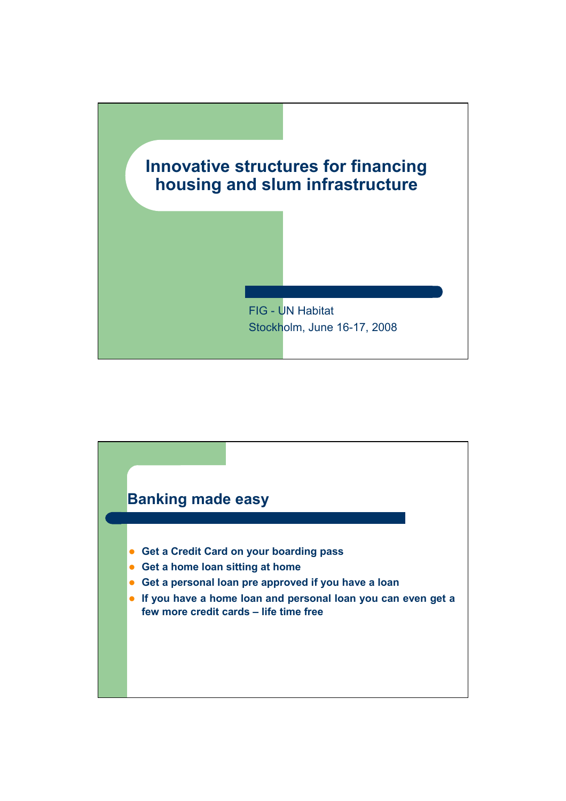

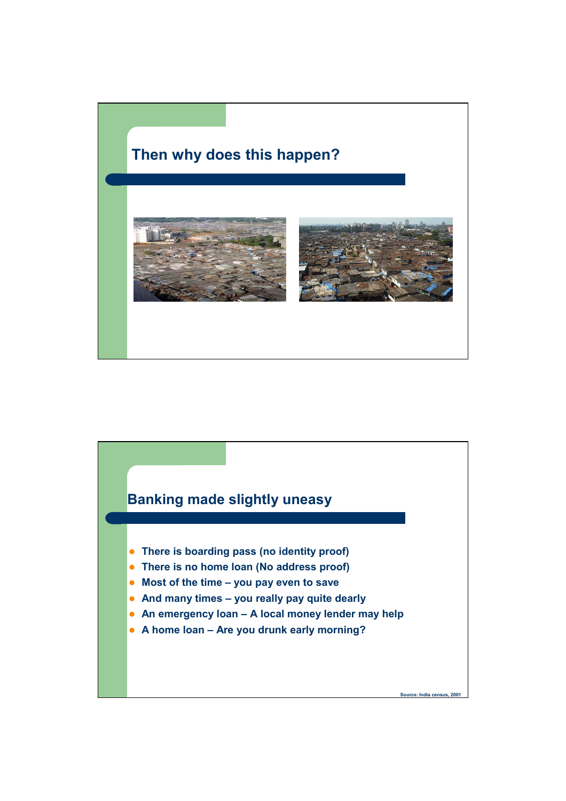## **Then why does this happen?**



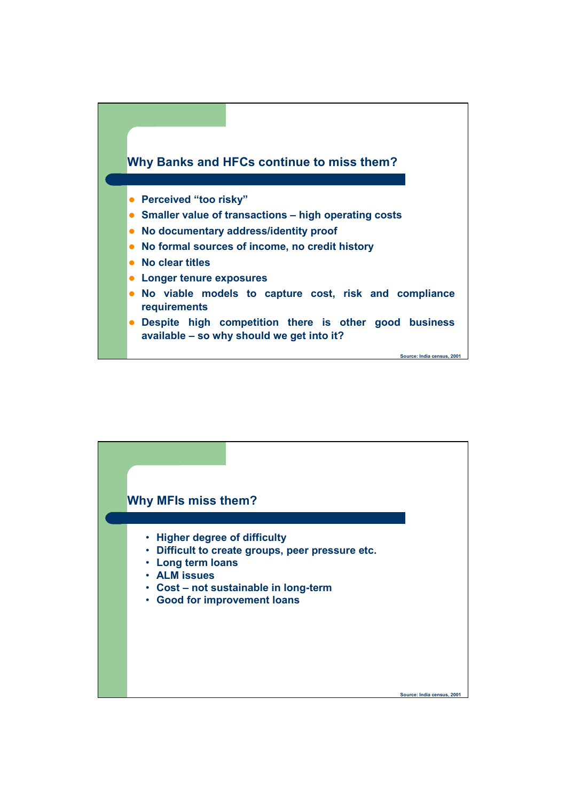

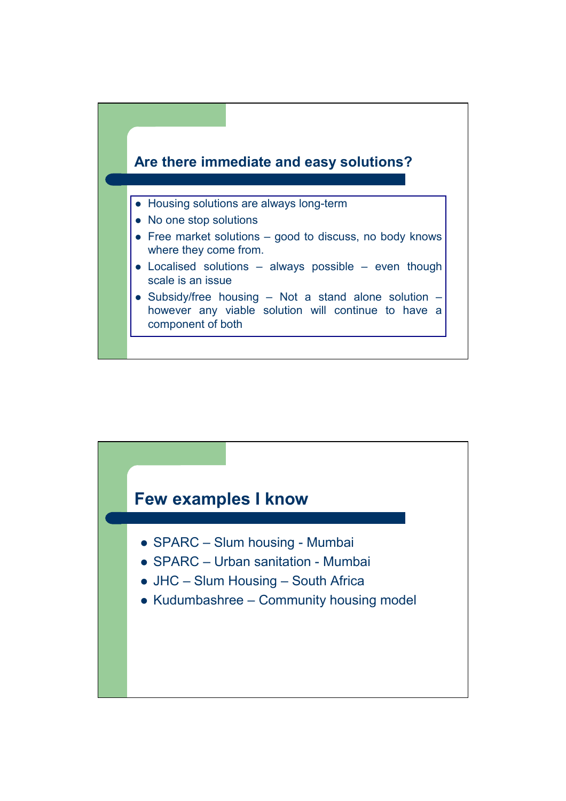

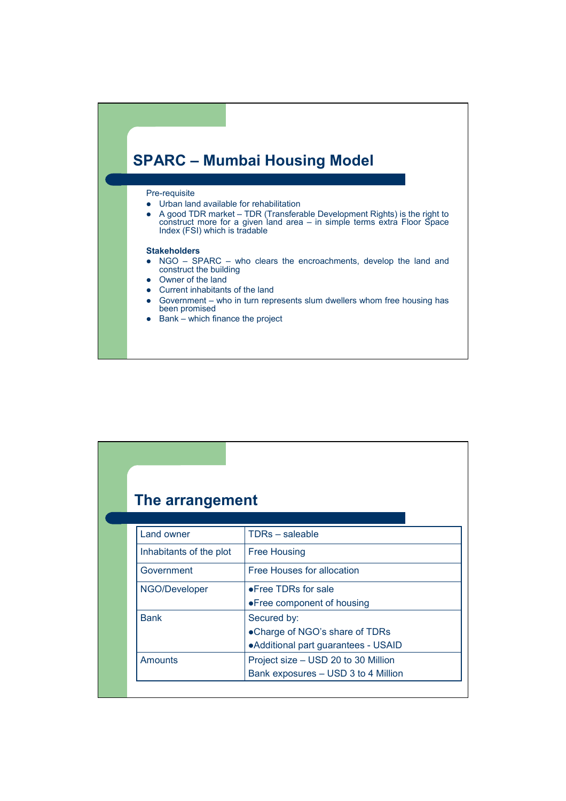

## Pre-requisite

- $\bullet$  Urban land available for rehabilitation
- A good TDR market TDR (Transferable Development Rights) is the right to construct more for a given land area – in simple terms extra Floor Space Index (FSI) which is tradable

## **Stakeholders**

- NGO SPARC who clears the encroachments, develop the land and construct the building
- Owner of the land
- Current inhabitants of the land
- $\bullet$  Government who in turn represents slum dwellers whom free housing has been promised
- $\bullet$  Bank which finance the project

| The arrangement         |                                      |
|-------------------------|--------------------------------------|
|                         |                                      |
| Land owner              | <b>TDRs</b> – saleable               |
| Inhabitants of the plot | <b>Free Housing</b>                  |
| Government              | Free Houses for allocation           |
| NGO/Developer           | • Free TDRs for sale                 |
|                         | • Free component of housing          |
| <b>Bank</b>             | Secured by:                          |
|                         | •Charge of NGO's share of TDRs       |
|                         | • Additional part guarantees - USAID |
|                         |                                      |
| <b>Amounts</b>          | Project size – USD 20 to 30 Million  |
|                         | Bank exposures - USD 3 to 4 Million  |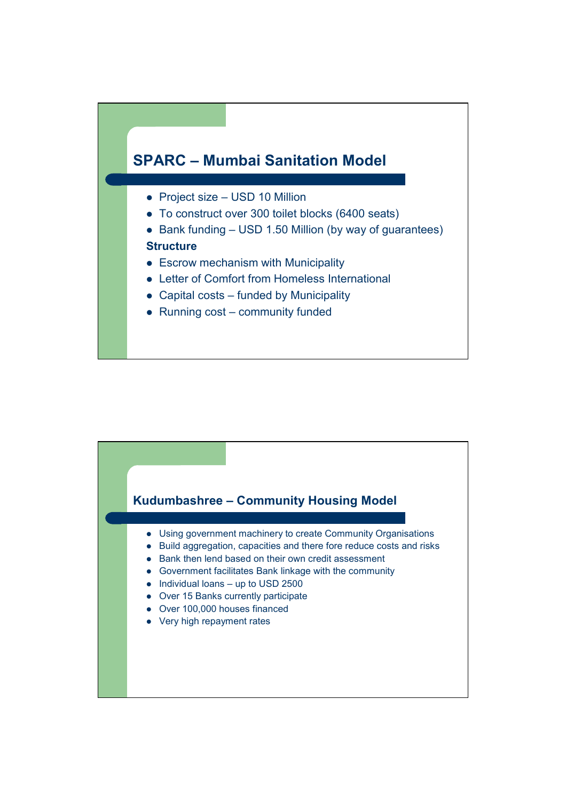

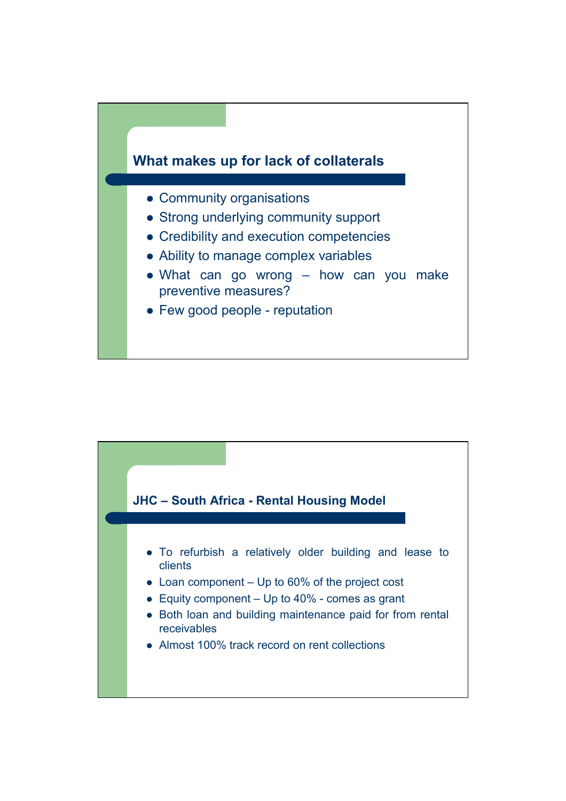

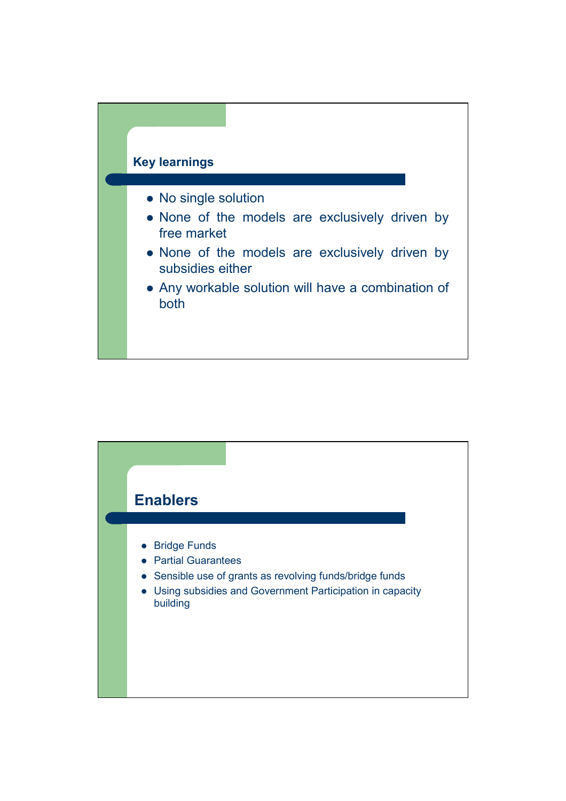